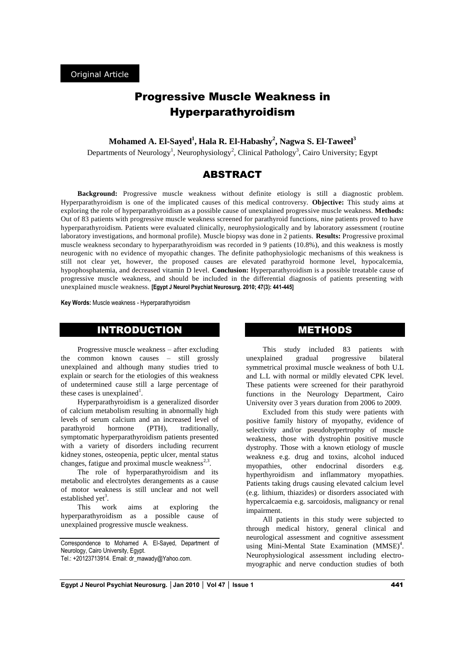# Progressive Muscle Weakness in Hyperparathyroidism

**Mohamed A. El-Sayed<sup>1</sup> , Hala R. El-Habashy<sup>2</sup> , Nagwa S. El-Taweel<sup>3</sup>**

Departments of Neurology<sup>1</sup>, Neurophysiology<sup>2</sup>, Clinical Pathology<sup>3</sup>, Cairo University; Egypt

# ABSTRACT

**Background:** Progressive muscle weakness without definite etiology is still a diagnostic problem. Hyperparathyroidism is one of the implicated causes of this medical controversy. **Objective:** This study aims at exploring the role of hyperparathyroidism as a possible cause of unexplained progressive muscle weakness. **Methods:** Out of 83 patients with progressive muscle weakness screened for parathyroid functions, nine patients proved to have hyperparathyroidism. Patients were evaluated clinically, neurophysiologically and by laboratory assessment (routine laboratory investigations, and hormonal profile). Muscle biopsy was done in 2 patients. **Results:** Progressive proximal muscle weakness secondary to hyperparathyroidism was recorded in 9 patients (10.8%), and this weakness is mostly neurogenic with no evidence of myopathic changes. The definite pathophysiologic mechanisms of this weakness is still not clear yet, however, the proposed causes are elevated parathyroid hormone level, hypocalcemia, hypophosphatemia, and decreased vitamin D level. **Conclusion:** Hyperparathyroidism is a possible treatable cause of progressive muscle weakness, and should be included in the differential diagnosis of patients presenting with unexplained muscle weakness. **[Egypt J Neurol Psychiat Neurosurg. 2010; 47(3): 441-445]**

**Key Words:** Muscle weakness - Hyperparathyroidism

# INTRODUCTION

Progressive muscle weakness – after excluding the common known causes – still grossly unexplained and although many studies tried to explain or search for the etiologies of this weakness of undetermined cause still a large percentage of these cases is unexplained<sup>1</sup>.

Hyperparathyroidism is a generalized disorder of calcium metabolism resulting in abnormally high levels of serum calcium and an increased level of parathyroid hormone (PTH), traditionally, symptomatic hyperparathyroidism patients presented with a variety of disorders including recurrent kidney stones, osteopenia, peptic ulcer, mental status changes, fatigue and proximal muscle weakness $2.3$ .

The role of hyperparathyroidism and its metabolic and electrolytes derangements as a cause of motor weakness is still unclear and not well established yet<sup>3</sup>.

This work aims at exploring the hyperparathyroidism as a possible cause of unexplained progressive muscle weakness.

Correspondence to Mohamed A. El-Sayed, Department of Neurology, Cairo University, Egypt. Tel.: +20123713914. Email[: dr\\_mawady@Yahoo.com.](mailto:dr_mawady@Yahoo.com) 

### METHODS

This study included 83 patients with unexplained gradual progressive bilateral symmetrical proximal muscle weakness of both U.L and L.L with normal or mildly elevated CPK level. These patients were screened for their parathyroid functions in the Neurology Department, Cairo University over 3 years duration from 2006 to 2009.

Excluded from this study were patients with positive family history of myopathy, evidence of selectivity and/or pseudohypertrophy of muscle weakness, those with dystrophin positive muscle dystrophy. Those with a known etiology of muscle weakness e.g. drug and toxins, alcohol induced myopathies, other endocrinal disorders e.g. hyperthyroidism and inflammatory myopathies. Patients taking drugs causing elevated calcium level (e.g. lithium, thiazides) or disorders associated with hypercalcaemia e.g. sarcoidosis, malignancy or renal impairment.

All patients in this study were subjected to through medical history, general clinical and neurological assessment and cognitive assessment using Mini-Mental State Examination (MMSE)<sup>4</sup>. Neurophysiological assessment including electromyographic and nerve conduction studies of both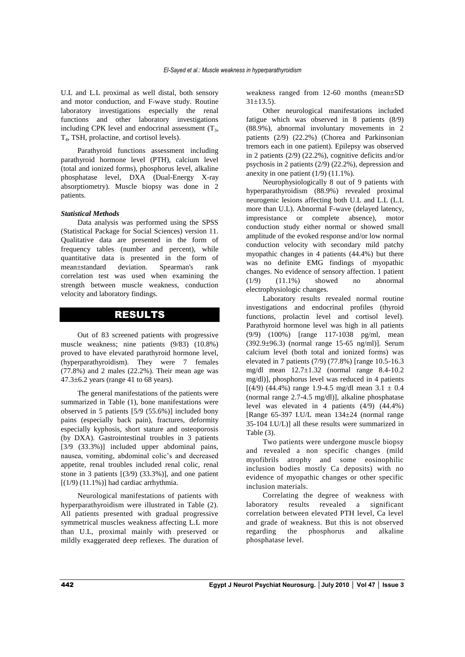U.L and L.L proximal as well distal, both sensory and motor conduction, and F-wave study. Routine laboratory investigations especially the renal functions and other laboratory investigations including CPK level and endocrinal assessment  $(T_3,$ T4 , TSH, prolactine, and cortisol levels).

Parathyroid functions assessment including parathyroid hormone level (PTH), calcium level (total and ionized forms), phosphorus level, alkaline phosphatase level, DXA (Dual-Energy X-ray absorptiometry). Muscle biopsy was done in 2 patients.

### *Statistical Methods*

Data analysis was performed using the SPSS (Statistical Package for Social Sciences) version 11. Qualitative data are presented in the form of frequency tables (number and percent), while quantitative data is presented in the form of mean±standard deviation. Spearman's rank correlation test was used when examining the strength between muscle weakness, conduction velocity and laboratory findings.

### RESULTS

Out of 83 screened patients with progressive muscle weakness; nine patients (9/83) (10.8%) proved to have elevated parathyroid hormone level, (hyperparathyroidism). They were 7 females (77.8%) and 2 males (22.2%). Their mean age was 47.3±6.2 years (range 41 to 68 years).

The general manifestations of the patients were summarized in Table (1), bone manifestations were observed in 5 patients [5/9 (55.6%)] included bony pains (especially back pain), fractures, deformity especially kyphosis, short stature and osteoporosis (by DXA). Gastrointestinal troubles in 3 patients [3/9 (33.3%)] included upper abdominal pains, nausea, vomiting, abdominal colic's and decreased appetite, renal troubles included renal colic, renal stone in 3 patients [(3/9) (33.3%)], and one patient  $[(1/9) (11.1\%)]$  had cardiac arrhythmia.

Neurological manifestations of patients with hyperparathyroidism were illustrated in Table (2). All patients presented with gradual progressive symmetrical muscles weakness affecting L.L more than U.L, proximal mainly with preserved or mildly exaggerated deep reflexes. The duration of weakness ranged from 12-60 months (mean±SD  $31 \pm 13.5$ ).

Other neurological manifestations included fatigue which was observed in 8 patients (8/9) (88.9%), abnormal involuntary movements in 2 patients (2/9) (22.2%) (Chorea and Parkinsonian tremors each in one patient). Epilepsy was observed in 2 patients (2/9) (22.2%), cognitive deficits and/or psychosis in 2 patients (2/9) (22.2%), depression and anexity in one patient  $(1/9)$   $(11.1\%)$ .

Neurophysiologically 8 out of 9 patients with hyperparathyroidism (88.9%) revealed proximal neurogenic lesions affecting both U.L and L.L (L.L more than U.L). Abnormal F-wave (delayed latency, impresistance or complete absence), motor conduction study either normal or showed small amplitude of the evoked response and/or low normal conduction velocity with secondary mild patchy myopathic changes in 4 patients (44.4%) but there was no definite EMG findings of myopathic changes. No evidence of sensory affection. 1 patient (1/9) (11.1%) showed no abnormal electrophysiologic changes.

Laboratory results revealed normal routine investigations and endocrinal profiles (thyroid functions, prolactin level and cortisol level). Parathyroid hormone level was high in all patients (9/9) (100%) [range 117-1038 pg/ml, mean (392.9±96.3) (normal range 15-65 ng/ml)]. Serum calcium level (both total and ionized forms) was elevated in 7 patients (7/9) (77.8%) [range 10.5-16.3 mg/dl mean 12.7±1.32 (normal range 8.4-10.2 mg/dl)], phosphorus level was reduced in 4 patients  $[(4/9) (44.4\%)$  range 1.9-4.5 mg/dl mean 3.1  $\pm$  0.4 (normal range 2.7-4.5 mg/dl)], alkaline phosphatase level was elevated in 4 patients (4/9) (44.4%) [Range 65-397 I.U/L mean 134±24 (normal range 35-104 I.U/L)] all these results were summarized in Table (3).

Two patients were undergone muscle biopsy and revealed a non specific changes (mild myofibrils atrophy and some eosinophilic inclusion bodies mostly Ca deposits) with no evidence of myopathic changes or other specific inclusion materials.

Correlating the degree of weakness with laboratory results revealed a significant correlation between elevated PTH level, Ca level and grade of weakness. But this is not observed regarding the phosphorus and alkaline phosphatase level.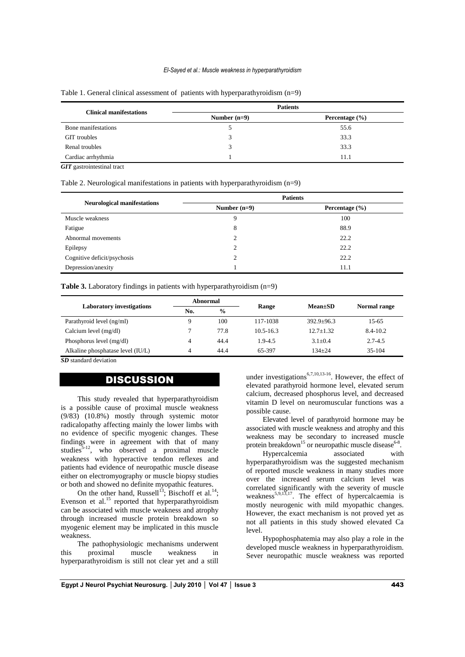#### *El-Sayed et al.: Muscle weakness in hyperparathyroidism*

| <b>Clinical manifestations</b> | <b>Patients</b> |                    |  |
|--------------------------------|-----------------|--------------------|--|
|                                | Number $(n=9)$  | Percentage $(\% )$ |  |
| Bone manifestations            |                 | 55.6               |  |
| <b>GIT</b> troubles            |                 | 33.3               |  |
| Renal troubles                 |                 | 33.3               |  |
| Cardiac arrhythmia             |                 | 11.1               |  |

#### Table 1. General clinical assessment of patients with hyperparathyroidism (n=9)

*GIT* gastrointestinal tract

Table 2. Neurological manifestations in patients with hyperparathyroidism (n=9)

|                                    | <b>Patients</b> |                    |  |
|------------------------------------|-----------------|--------------------|--|
| <b>Neurological manifestations</b> | Number $(n=9)$  | Percentage $(\% )$ |  |
| Muscle weakness                    | 9               | 100                |  |
| Fatigue                            | 8               | 88.9               |  |
| Abnormal movements                 | $\gamma$        | 22.2               |  |
| Epilepsy                           | 2               | 22.2               |  |
| Cognitive deficit/psychosis        |                 | 22.2               |  |
| Depression/anexity                 |                 | 11.1               |  |

**Table 3.** Laboratory findings in patients with hyperparathyroidism (n=9)

| <b>Laboratory investigations</b>  |     | Abnormal      | Range         | $Mean \pm SD$  | Normal range |
|-----------------------------------|-----|---------------|---------------|----------------|--------------|
|                                   | No. | $\frac{0}{0}$ |               |                |              |
| Parathyroid level (ng/ml)         |     | 100           | 117-1038      | $392.9 + 96.3$ | 15-65        |
| Calcium level (mg/dl)             |     | 77.8          | $10.5 - 16.3$ | $12.7 + 1.32$  | 8.4-10.2     |
| Phosphorus level $(mg/dl)$        |     | 44.4          | $1.9 - 4.5$   | $3.1 + 0.4$    | $2.7 - 4.5$  |
| Alkaline phosphatase level (IU/L) | 4   | 44.4          | 65-397        | $134 + 24$     | 35-104       |

*SD* standard deviation

# **DISCUSSION**

This study revealed that hyperparathyroidism is a possible cause of proximal muscle weakness (9/83) (10.8%) mostly through systemic motor radicalopathy affecting mainly the lower limbs with no evidence of specific myogenic changes. These findings were in agreement with that of many studies<sup>5-12</sup>, who observed a proximal muscle weakness with hyperactive tendon reflexes and patients had evidence of neuropathic muscle disease either on electromyography or muscle biopsy studies or both and showed no definite myopathic features.

On the other hand, Russell<sup>13</sup>; Bischoff et al.<sup>14</sup>; Evenson et al. $^{15}$  reported that hyperparathyroidism can be associated with muscle weakness and atrophy through increased muscle protein breakdown so myogenic element may be implicated in this muscle weakness.

The pathophysiologic mechanisms underwent this proximal muscle weakness in hyperparathyroidism is still not clear yet and a still

under investigations<sup>6,7,10,13-16</sup>. However, the effect of elevated parathyroid hormone level, elevated serum calcium, decreased phosphorus level, and decreased vitamin D level on neuromuscular functions was a possible cause.

Elevated level of parathyroid hormone may be associated with muscle weakness and atrophy and this weakness may be secondary to increased muscle protein breakdown<sup>15</sup> or neuropathic muscle disease<sup>6-8</sup>.

Hypercalcemia associated with hyperparathyroidism was the suggested mechanism of reported muscle weakness in many studies more over the increased serum calcium level was correlated significantly with the severity of muscle weakness<sup>5,9,13,17</sup>. The effect of hypercalcaemia is mostly neurogenic with mild myopathic changes. However, the exact mechanism is not proved yet as not all patients in this study showed elevated Ca level.

Hypophosphatemia may also play a role in the developed muscle weakness in hyperparathyroidism. Sever neuropathic muscle weakness was reported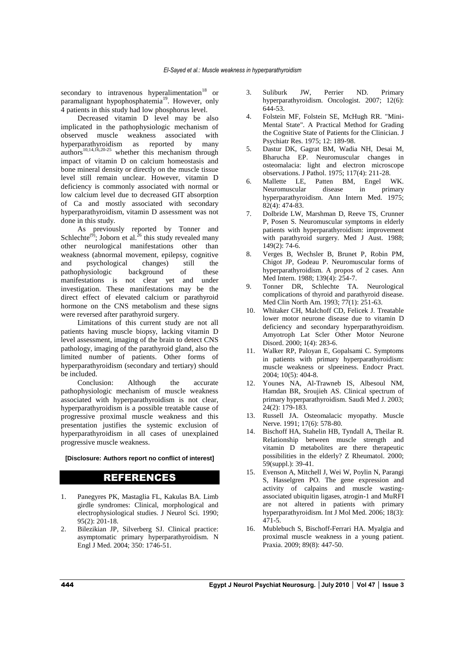secondary to intravenous hyperalimentation<sup>18</sup> or paramalignant hypophosphatemia<sup>19</sup>. However, only 4 patients in this study had low phosphorus level.

Decreased vitamin D level may be also implicated in the pathophysiologic mechanism of observed muscle weakness associated with hyperparathyroidism as reported by many  $\arctan^{10,14,16,20-25}$  whether this mechanism through impact of vitamin D on calcium homeostasis and bone mineral density or directly on the muscle tissue level still remain unclear. However, vitamin D deficiency is commonly associated with normal or low calcium level due to decreased GIT absorption of Ca and mostly associated with secondary hyperparathyroidism, vitamin D assessment was not done in this study.

As previously reported by Tonner and Schlechte<sup>(9)</sup>; Joborn et al.<sup>26</sup> this study revealed many other neurological manifestations other than weakness (abnormal movement, epilepsy, cognitive and psychological changes) still the pathophysiologic background of these manifestations is not clear yet and under investigation. These manifestations may be the direct effect of elevated calcium or parathyroid hormone on the CNS metabolism and these signs were reversed after parathyroid surgery.

Limitations of this current study are not all patients having muscle biopsy, lacking vitamin D level assessment, imaging of the brain to detect CNS pathology, imaging of the parathyroid gland, also the limited number of patients. Other forms of hyperparathyroidism (secondary and tertiary) should be included.

Conclusion: Although the accurate pathophysiologic mechanism of muscle weakness associated with hyperparathyroidism is not clear, hyperparathyroidism is a possible treatable cause of progressive proximal muscle weakness and this presentation justifies the systemic exclusion of hyperparathyroidism in all cases of unexplained progressive muscle weakness.

**[Disclosure: Authors report no conflict of interest]**

### REFERENCES

- 1. Panegyres PK, Mastaglia FL, Kakulas BA. Limb girdle syndromes: Clinical, morphological and electrophysiological studies. J Neurol Sci. 1990; 95(2): 201-18.
- 2. Bilezikian JP, Silverberg SJ. Clinical practice: asymptomatic primary hyperparathyroidism. N Engl J Med. 2004; 350: 1746-51.
- 3. Suliburk JW, Perrier ND. Primary hyperparathyroidism. Oncologist. 2007; 12(6): 644-53.
- 4. Folstein MF, Folstein SE, McHugh RR. "Mini-Mental State". A Practical Method for Grading the Cognitive State of Patients for the Clinician. J Psychiatr Res. 1975; 12: 189-98.
- 5. Dastur DK, Gagrat BM, Wadia NH, Desai M, Bharucha EP. Neuromuscular changes in osteomalacia: light and electron microscope observations. J Pathol. 1975; 117(4): 211-28.
- 6. Mallette LE, Patten BM, Engel WK. Neuromuscular disease in primary hyperparathyroidism. Ann Intern Med. 1975; 82(4): 474-83.
- 7. Dolbride LW, Marshman D, Reeve TS, Crunner P, Posen S. Neuromuscular symptoms in elderly patients with hyperparathyroidism: improvement with parathyroid surgery. Med J Aust. 1988;  $149(2): 74-6.$
- 8. Verges B, Wechsler B, Brunet P, Robin PM, Chigot JP, Godeau P. Neuromuscular forms of hyperparathyroidism. A propos of 2 cases. Ann Med Intern. 1988; 139(4): 254-7.
- 9. Tonner DR, Schlechte TA. Neurological complications of thyroid and parathyroid disease. Med Clin North Am. 1993; 77(1): 251-63.
- 10. Whitaker CH, Malchoff CD, Felicek J. Treatable lower motor neurone disease due to vitamin D deficiency and secondary hyperparathyroidism. Amyotroph Lat Scler Other Motor Neurone Disord. 2000; 1(4): 283-6.
- 11. Walker RP, Paloyan E, Gopalsami C. Symptoms in patients with primary hyperparathyroidism: muscle weakness or slpeeiness. Endocr Pract. 2004; 10(5): 404-8.
- 12. Younes NA, Al-Trawneb IS, Albesoul NM, Hamdan BR, Sroujieh AS. Clinical spectrum of primary hyperparathyroidism. Saudi Med J. 2003; 24(2): 179-183.
- 13. Russell JA. Osteomalacic myopathy. Muscle Nerve. 1991; 17(6): 578-80.
- 14. Bischoff HA, Stahelin HB, Tyndall A, Theilar R. Relationship between muscle strength and vitamin D metabolites are there therapeutic possibilities in the elderly? Z Rheumatol. 2000; 59(suppl.): 39-41.
- 15. Evenson A, Mitchell J, Wei W, Poylin N, Parangi S, Hasselgren PO. The gene expression and activity of calpains and muscle wastingassociated ubiquitin ligases, atrogin-1 and MuRFI are not altered in patients with primary hyperparathyroidism. Int J Mol Med. 2006; 18(3): 471-5.
- 16. Mublebuch S, Bischoff-Ferrari HA. Myalgia and proximal muscle weakness in a young patient. Praxia. 2009; 89(8): 447-50.